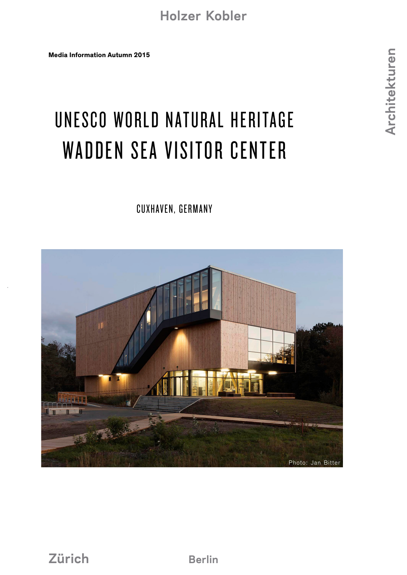**Media Information Autumn 2015**

# UNESCO WORLD NATURAL HERITAGE WADDEN SEA VISITOR CENTER

#### CUXHAVEN, GERMANY

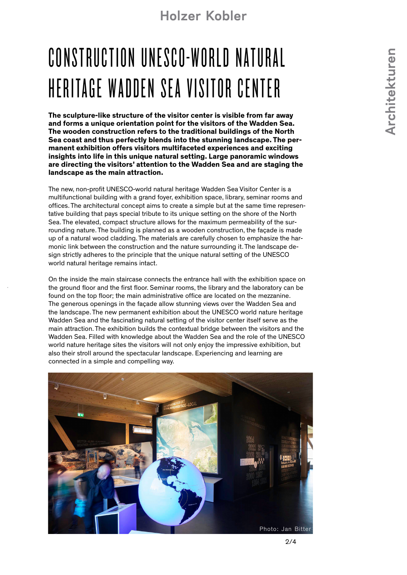#### **Holzer Kobler**

# CONSTRUCTION UNFSCO-WORLD NATURAL HERITAGE WADDEN SEA VISITOR CENTER

**The sculpture-like structure of the visitor center is visible from far away and forms a unique orientation point for the visitors of the Wadden Sea. The wooden construction refers to the traditional buildings of the North Sea coast and thus perfectly blends into the stunning landscape. The permanent exhibition offers visitors multifaceted experiences and exciting insights into life in this unique natural setting. Large panoramic windows are directing the visitors' attention to the Wadden Sea and are staging the landscape as the main attraction.**

The new, non-profit UNESCO-world natural heritage Wadden Sea Visitor Center is a multifunctional building with a grand foyer, exhibition space, library, seminar rooms and offices. The architectural concept aims to create a simple but at the same time representative building that pays special tribute to its unique setting on the shore of the North Sea. The elevated, compact structure allows for the maximum permeability of the surrounding nature. The building is planned as a wooden construction, the façade is made up of a natural wood cladding. The materials are carefully chosen to emphasize the harmonic link between the construction and the nature surrounding it. The landscape design strictly adheres to the principle that the unique natural setting of the UNESCO world natural heritage remains intact.

On the inside the main staircase connects the entrance hall with the exhibition space on the ground floor and the first floor. Seminar rooms, the library and the laboratory can be found on the top floor; the main administrative office are located on the mezzanine. The generous openings in the façade allow stunning views over the Wadden Sea and the landscape. The new permanent exhibition about the UNESCO world nature heritage Wadden Sea and the fascinating natural setting of the visitor center itself serve as the main attraction. The exhibition builds the contextual bridge between the visitors and the Wadden Sea. Filled with knowledge about the Wadden Sea and the role of the UNESCO world nature heritage sites the visitors will not only enjoy the impressive exhibition, but also their stroll around the spectacular landscape. Experiencing and learning are connected in a simple and compelling way.

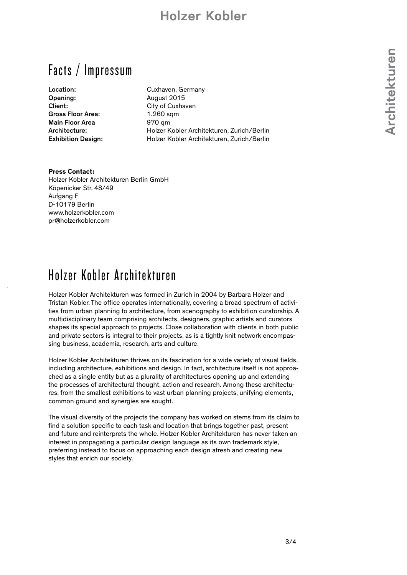#### **Holzer Kobler**

Facts / Impressum

Opening: August 2015 Client: City of Cuxhaven Gross Floor Area: 1.260 sqm Main Floor Area 970 qm

Location: Cuxhaven, Germany Architecture: Holzer Kobler Architekturen, Zurich/Berlin Exhibition Design: Holzer Kobler Architekturen, Zurich/Berlin

#### **Press Contact:**

Holzer Kobler Architekturen Berlin GmbH Köpenicker Str. 48/49 Aufgang F D-10179 Berlin www.holzerkobler.com pr@holzerkobler.com

### Holzer Kobler Architekturen

Holzer Kobler Architekturen was formed in Zurich in 2004 by Barbara Holzer and Tristan Kobler. The office operates internationally, covering a broad spectrum of activities from urban planning to architecture, from scenography to exhibition curatorship. A multidisciplinary team comprising architects, designers, graphic artists and curators shapes its special approach to projects. Close collaboration with clients in both public and private sectors is integral to their projects, as is a tightly knit network encompassing business, academia, research, arts and culture.

Holzer Kobler Architekturen thrives on its fascination for a wide variety of visual fields, including architecture, exhibitions and design. In fact, architecture itself is not approached as a single entity but as a plurality of architectures opening up and extending the processes of architectural thought, action and research. Among these architectures, from the smallest exhibitions to vast urban planning projects, unifying elements, common ground and synergies are sought.

The visual diversity of the projects the company has worked on stems from its claim to find a solution specific to each task and location that brings together past, present and future and reinterprets the whole. Holzer Kobler Architekturen has never taken an interest in propagating a particular design language as its own trademark style, preferring instead to focus on approaching each design afresh and creating new styles that enrich our society.